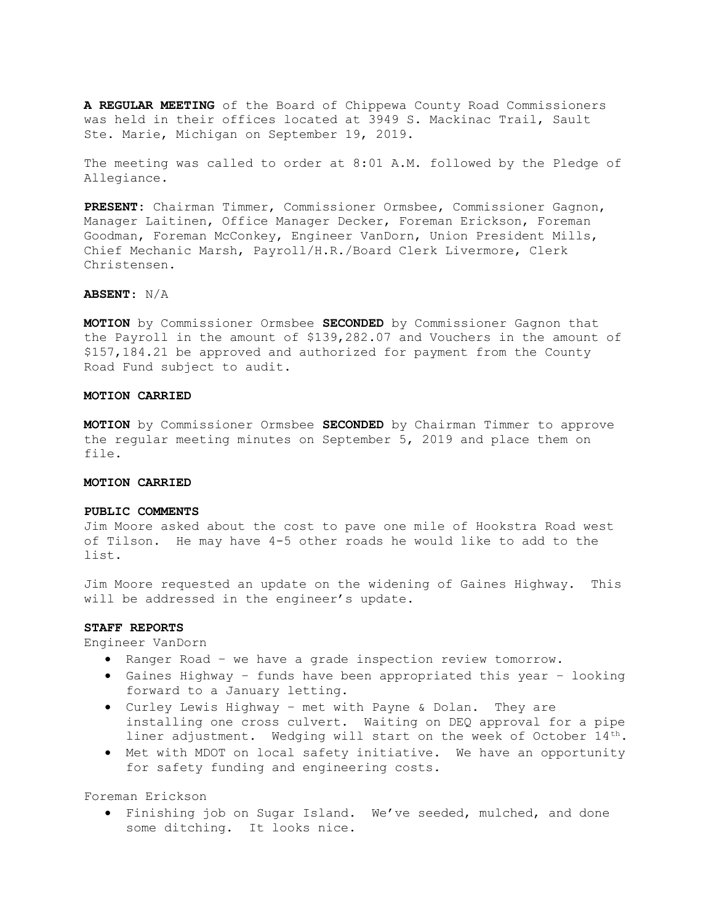A REGULAR MEETING of the Board of Chippewa County Road Commissioners was held in their offices located at 3949 S. Mackinac Trail, Sault Ste. Marie, Michigan on September 19, 2019.

The meeting was called to order at 8:01 A.M. followed by the Pledge of Allegiance.

PRESENT: Chairman Timmer, Commissioner Ormsbee, Commissioner Gagnon, Manager Laitinen, Office Manager Decker, Foreman Erickson, Foreman Goodman, Foreman McConkey, Engineer VanDorn, Union President Mills, Chief Mechanic Marsh, Payroll/H.R./Board Clerk Livermore, Clerk Christensen.

# ABSENT: N/A

MOTION by Commissioner Ormsbee SECONDED by Commissioner Gagnon that the Payroll in the amount of \$139,282.07 and Vouchers in the amount of \$157,184.21 be approved and authorized for payment from the County Road Fund subject to audit.

### MOTION CARRIED

MOTION by Commissioner Ormsbee SECONDED by Chairman Timmer to approve the regular meeting minutes on September 5, 2019 and place them on file.

#### MOTION CARRIED

### PUBLIC COMMENTS

Jim Moore asked about the cost to pave one mile of Hookstra Road west of Tilson. He may have 4-5 other roads he would like to add to the list.

Jim Moore requested an update on the widening of Gaines Highway. This will be addressed in the engineer's update.

# STAFF REPORTS

Engineer VanDorn

- Ranger Road we have a grade inspection review tomorrow.
- Gaines Highway funds have been appropriated this year looking forward to a January letting.
- Curley Lewis Highway met with Payne & Dolan. They are installing one cross culvert. Waiting on DEQ approval for a pipe liner adjustment. Wedging will start on the week of October  $14^{th}$ .
- Met with MDOT on local safety initiative. We have an opportunity for safety funding and engineering costs.

Foreman Erickson

 Finishing job on Sugar Island. We've seeded, mulched, and done some ditching. It looks nice.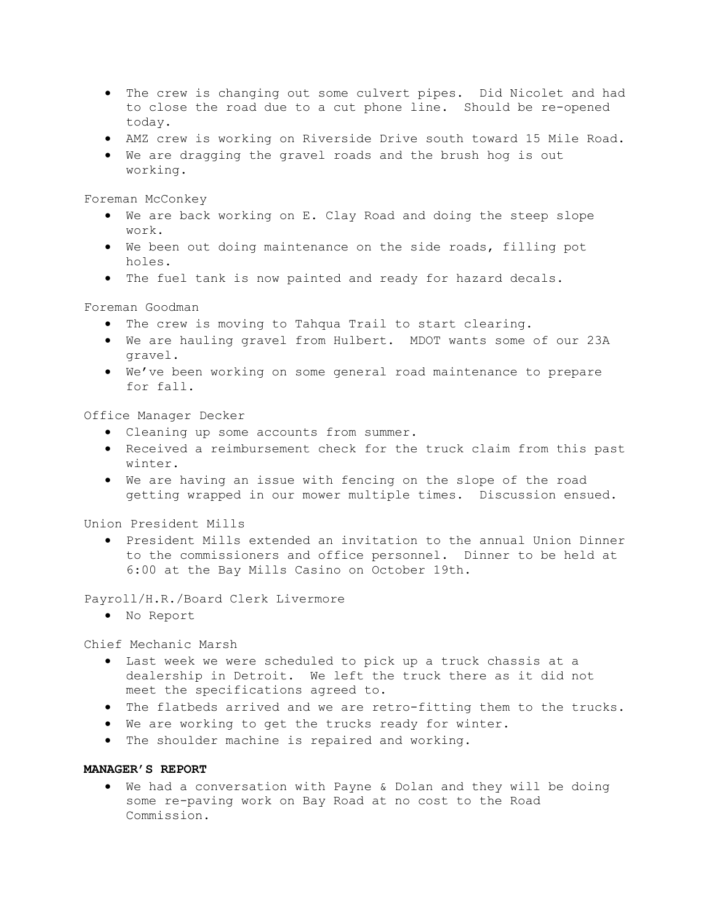- The crew is changing out some culvert pipes. Did Nicolet and had to close the road due to a cut phone line. Should be re-opened today.
- AMZ crew is working on Riverside Drive south toward 15 Mile Road.
- We are dragging the gravel roads and the brush hog is out working.

Foreman McConkey

- We are back working on E. Clay Road and doing the steep slope work.
- We been out doing maintenance on the side roads, filling pot holes.
- The fuel tank is now painted and ready for hazard decals.

Foreman Goodman

- The crew is moving to Tahqua Trail to start clearing.
- We are hauling gravel from Hulbert. MDOT wants some of our 23A gravel.
- We've been working on some general road maintenance to prepare for fall.

Office Manager Decker

- Cleaning up some accounts from summer.
- Received a reimbursement check for the truck claim from this past winter.
- We are having an issue with fencing on the slope of the road getting wrapped in our mower multiple times. Discussion ensued.

Union President Mills

 President Mills extended an invitation to the annual Union Dinner to the commissioners and office personnel. Dinner to be held at 6:00 at the Bay Mills Casino on October 19th.

Payroll/H.R./Board Clerk Livermore

No Report

Chief Mechanic Marsh

- Last week we were scheduled to pick up a truck chassis at a dealership in Detroit. We left the truck there as it did not meet the specifications agreed to.
- The flatbeds arrived and we are retro-fitting them to the trucks.
- We are working to get the trucks ready for winter.
- The shoulder machine is repaired and working.

## MANAGER'S REPORT

 We had a conversation with Payne & Dolan and they will be doing some re-paving work on Bay Road at no cost to the Road Commission.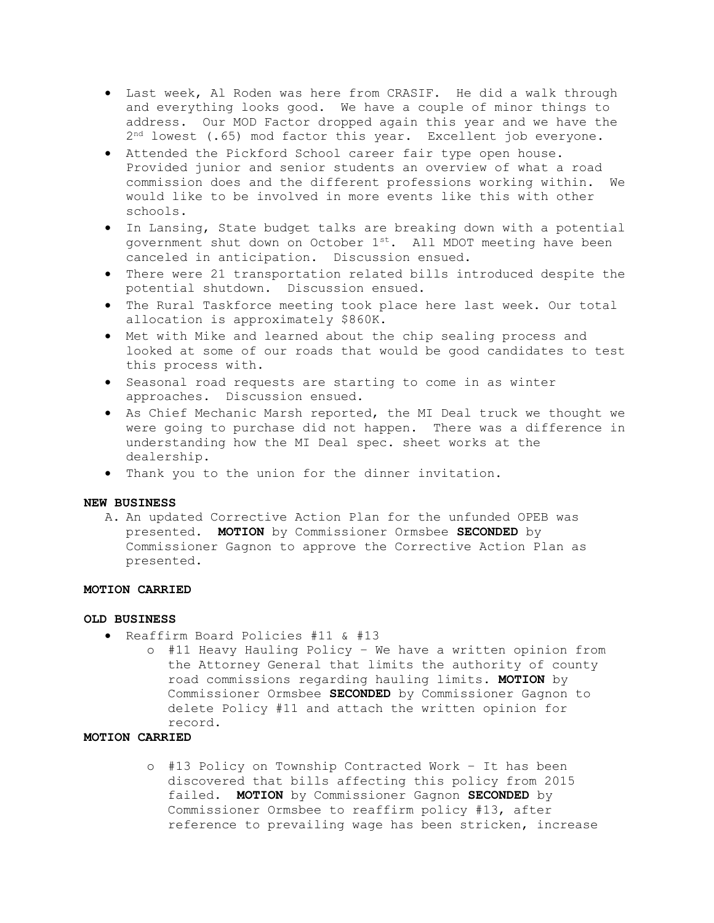- Last week, Al Roden was here from CRASIF. He did a walk through and everything looks good. We have a couple of minor things to address. Our MOD Factor dropped again this year and we have the 2 nd lowest (.65) mod factor this year. Excellent job everyone.
- Attended the Pickford School career fair type open house. Provided junior and senior students an overview of what a road commission does and the different professions working within. We would like to be involved in more events like this with other schools.
- In Lansing, State budget talks are breaking down with a potential government shut down on October  $1^{st}$ . All MDOT meeting have been canceled in anticipation. Discussion ensued.
- There were 21 transportation related bills introduced despite the potential shutdown. Discussion ensued.
- The Rural Taskforce meeting took place here last week. Our total allocation is approximately \$860K.
- Met with Mike and learned about the chip sealing process and looked at some of our roads that would be good candidates to test this process with.
- Seasonal road requests are starting to come in as winter approaches. Discussion ensued.
- As Chief Mechanic Marsh reported, the MI Deal truck we thought we were going to purchase did not happen. There was a difference in understanding how the MI Deal spec. sheet works at the dealership.
- Thank you to the union for the dinner invitation.

# NEW BUSINESS

A. An updated Corrective Action Plan for the unfunded OPEB was presented. MOTION by Commissioner Ormsbee SECONDED by Commissioner Gagnon to approve the Corrective Action Plan as presented.

# MOTION CARRIED

### OLD BUSINESS

- Reaffirm Board Policies #11 & #13
	- o #11 Heavy Hauling Policy We have a written opinion from the Attorney General that limits the authority of county road commissions regarding hauling limits. MOTION by Commissioner Ormsbee SECONDED by Commissioner Gagnon to delete Policy #11 and attach the written opinion for record.

# MOTION CARRIED

o #13 Policy on Township Contracted Work – It has been discovered that bills affecting this policy from 2015 failed. MOTION by Commissioner Gagnon SECONDED by Commissioner Ormsbee to reaffirm policy #13, after reference to prevailing wage has been stricken, increase